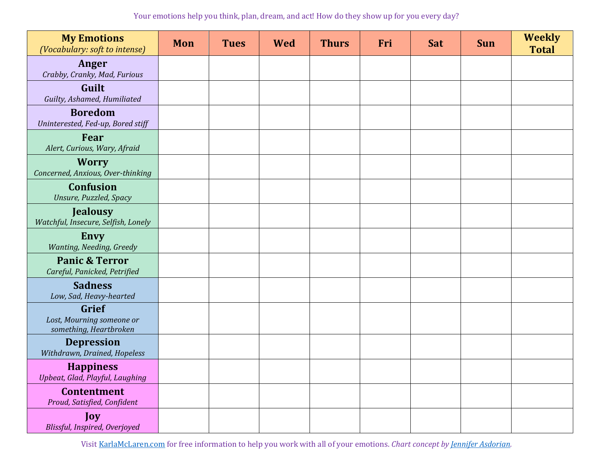| <b>My Emotions</b><br>(Vocabulary: soft to intense)          | Mon | <b>Tues</b> | <b>Wed</b> | <b>Thurs</b> | Fri | <b>Sat</b> | <b>Sun</b> | <b>Weekly</b><br><b>Total</b> |
|--------------------------------------------------------------|-----|-------------|------------|--------------|-----|------------|------------|-------------------------------|
| Anger<br>Crabby, Cranky, Mad, Furious                        |     |             |            |              |     |            |            |                               |
| Guilt<br>Guilty, Ashamed, Humiliated                         |     |             |            |              |     |            |            |                               |
| <b>Boredom</b><br>Uninterested, Fed-up, Bored stiff          |     |             |            |              |     |            |            |                               |
| Fear<br>Alert, Curious, Wary, Afraid                         |     |             |            |              |     |            |            |                               |
| <b>Worry</b><br>Concerned, Anxious, Over-thinking            |     |             |            |              |     |            |            |                               |
| <b>Confusion</b><br>Unsure, Puzzled, Spacy                   |     |             |            |              |     |            |            |                               |
| <b>Jealousy</b><br>Watchful, Insecure, Selfish, Lonely       |     |             |            |              |     |            |            |                               |
| <b>Envy</b><br>Wanting, Needing, Greedy                      |     |             |            |              |     |            |            |                               |
| <b>Panic &amp; Terror</b><br>Careful, Panicked, Petrified    |     |             |            |              |     |            |            |                               |
| <b>Sadness</b><br>Low, Sad, Heavy-hearted                    |     |             |            |              |     |            |            |                               |
| Grief<br>Lost, Mourning someone or<br>something, Heartbroken |     |             |            |              |     |            |            |                               |
| <b>Depression</b><br>Withdrawn, Drained, Hopeless            |     |             |            |              |     |            |            |                               |
| <b>Happiness</b><br>Upbeat, Glad, Playful, Laughing          |     |             |            |              |     |            |            |                               |
| <b>Contentment</b><br>Proud, Satisfied, Confident            |     |             |            |              |     |            |            |                               |
| Joy<br>Blissful, Inspired, Overjoyed                         |     |             |            |              |     |            |            |                               |

Visit [KarlaMcLaren.com](https://karlamclaren.com/) for free information to help you work with all of your emotions. *Chart concept by [Jennifer Asdorian.](https://emotiondynamics.org/dei-post/jennifer-asdorian/)*